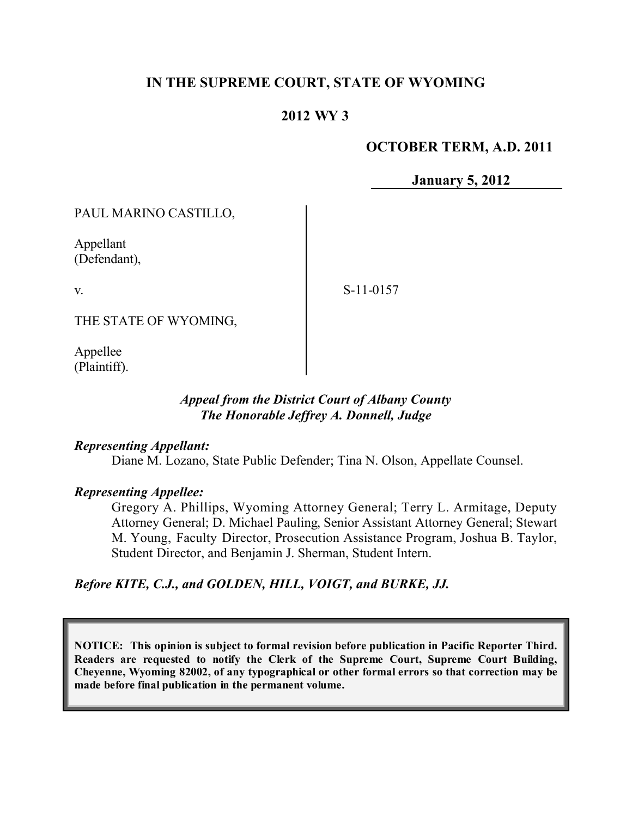# **IN THE SUPREME COURT, STATE OF WYOMING**

# **2012 WY 3**

## **OCTOBER TERM, A.D. 2011**

**January 5, 2012**

PAUL MARINO CASTILLO,

Appellant (Defendant),

v.

S-11-0157

THE STATE OF WYOMING,

Appellee (Plaintiff).

## *Appeal from the District Court of Albany County The Honorable Jeffrey A. Donnell, Judge*

#### *Representing Appellant:*

Diane M. Lozano, State Public Defender; Tina N. Olson, Appellate Counsel.

#### *Representing Appellee:*

Gregory A. Phillips, Wyoming Attorney General; Terry L. Armitage, Deputy Attorney General; D. Michael Pauling, Senior Assistant Attorney General; Stewart M. Young, Faculty Director, Prosecution Assistance Program, Joshua B. Taylor, Student Director, and Benjamin J. Sherman, Student Intern.

*Before KITE, C.J., and GOLDEN, HILL, VOIGT, and BURKE, JJ.*

**NOTICE: This opinion is subject to formal revision before publication in Pacific Reporter Third. Readers are requested to notify the Clerk of the Supreme Court, Supreme Court Building, Cheyenne, Wyoming 82002, of any typographical or other formal errors so that correction may be made before final publication in the permanent volume.**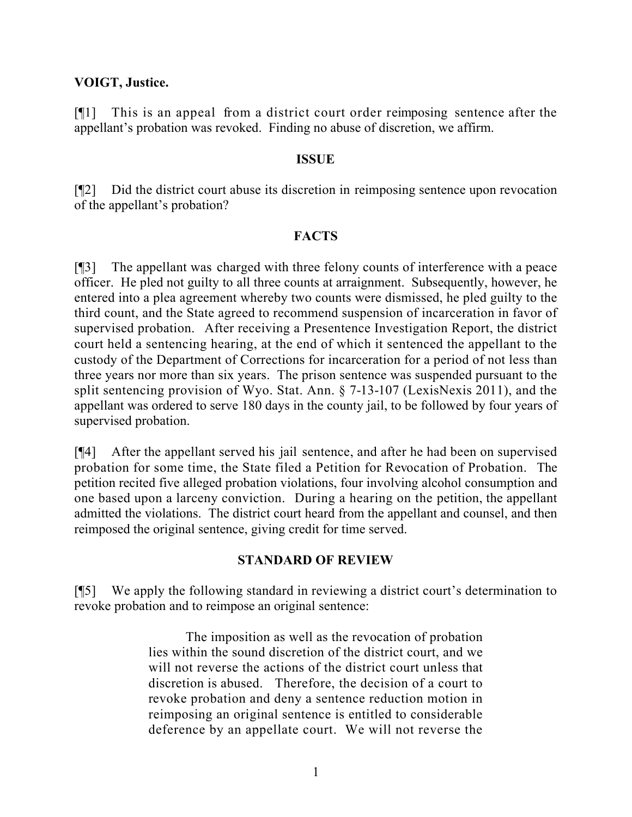## **VOIGT, Justice.**

[¶1] This is an appeal from a district court order reimposing sentence after the appellant's probation was revoked. Finding no abuse of discretion, we affirm.

#### **ISSUE**

[¶2] Did the district court abuse its discretion in reimposing sentence upon revocation of the appellant's probation?

## **FACTS**

[¶3] The appellant was charged with three felony counts of interference with a peace officer. He pled not guilty to all three counts at arraignment. Subsequently, however, he entered into a plea agreement whereby two counts were dismissed, he pled guilty to the third count, and the State agreed to recommend suspension of incarceration in favor of supervised probation. After receiving a Presentence Investigation Report, the district court held a sentencing hearing, at the end of which it sentenced the appellant to the custody of the Department of Corrections for incarceration for a period of not less than three years nor more than six years. The prison sentence was suspended pursuant to the split sentencing provision of Wyo. Stat. Ann. § 7-13-107 (LexisNexis 2011), and the appellant was ordered to serve 180 days in the county jail, to be followed by four years of supervised probation.

[¶4] After the appellant served his jail sentence, and after he had been on supervised probation for some time, the State filed a Petition for Revocation of Probation. The petition recited five alleged probation violations, four involving alcohol consumption and one based upon a larceny conviction. During a hearing on the petition, the appellant admitted the violations. The district court heard from the appellant and counsel, and then reimposed the original sentence, giving credit for time served.

## **STANDARD OF REVIEW**

[¶5] We apply the following standard in reviewing a district court's determination to revoke probation and to reimpose an original sentence:

> The imposition as well as the revocation of probation lies within the sound discretion of the district court, and we will not reverse the actions of the district court unless that discretion is abused. Therefore, the decision of a court to revoke probation and deny a sentence reduction motion in reimposing an original sentence is entitled to considerable deference by an appellate court. We will not reverse the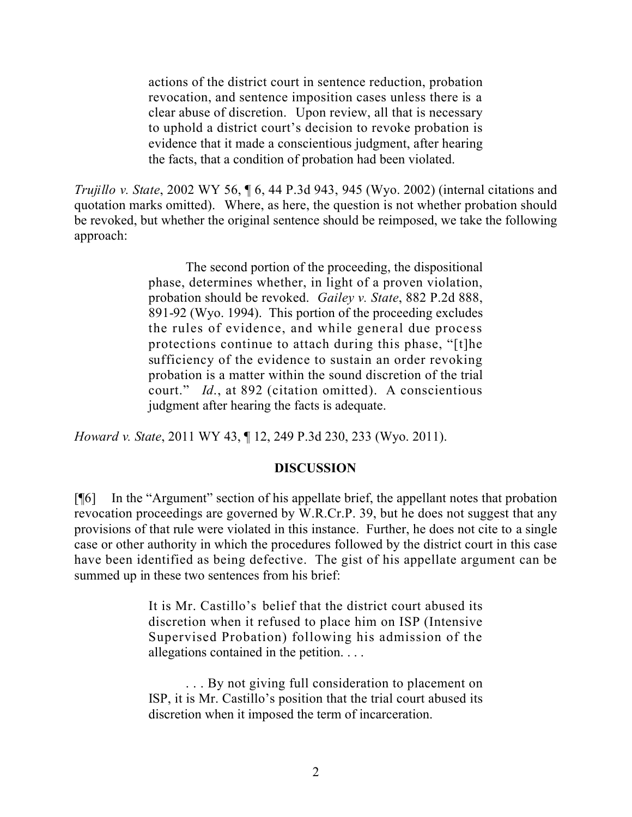actions of the district court in sentence reduction, probation revocation, and sentence imposition cases unless there is a clear abuse of discretion. Upon review, all that is necessary to uphold a district court's decision to revoke probation is evidence that it made a conscientious judgment, after hearing the facts, that a condition of probation had been violated.

*Trujillo v. State*, 2002 WY 56, ¶ 6, 44 P.3d 943, 945 (Wyo. 2002) (internal citations and quotation marks omitted). Where, as here, the question is not whether probation should be revoked, but whether the original sentence should be reimposed, we take the following approach:

> The second portion of the proceeding, the dispositional phase, determines whether, in light of a proven violation, probation should be revoked. *Gailey v. State*, 882 P.2d 888, 891-92 (Wyo. 1994). This portion of the proceeding excludes the rules of evidence, and while general due process protections continue to attach during this phase, "[t]he sufficiency of the evidence to sustain an order revoking probation is a matter within the sound discretion of the trial court." *Id*., at 892 (citation omitted). A conscientious judgment after hearing the facts is adequate.

*Howard v. State*, 2011 WY 43, ¶ 12, 249 P.3d 230, 233 (Wyo. 2011).

#### **DISCUSSION**

[¶6] In the "Argument" section of his appellate brief, the appellant notes that probation revocation proceedings are governed by W.R.Cr.P. 39, but he does not suggest that any provisions of that rule were violated in this instance. Further, he does not cite to a single case or other authority in which the procedures followed by the district court in this case have been identified as being defective. The gist of his appellate argument can be summed up in these two sentences from his brief:

> It is Mr. Castillo's belief that the district court abused its discretion when it refused to place him on ISP (Intensive Supervised Probation) following his admission of the allegations contained in the petition. . . .

> . . . By not giving full consideration to placement on ISP, it is Mr. Castillo's position that the trial court abused its discretion when it imposed the term of incarceration.